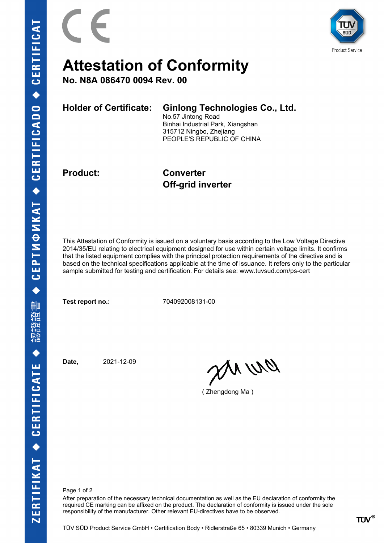

## **Attestation of Conformity**

**No. N8A 086470 0094 Rev. 00**

**Holder of Certificate: Ginlong Technologies Co., Ltd.** No.57 Jintong Road

Binhai Industrial Park, Xiangshan 315712 Ningbo, Zhejiang PEOPLE'S REPUBLIC OF CHINA

**Product: Converter Off-grid inverter**

This Attestation of Conformity is issued on a voluntary basis according to the Low Voltage Directive 2014/35/EU relating to electrical equipment designed for use within certain voltage limits. It confirms that the listed equipment complies with the principal protection requirements of the directive and is based on the technical specifications applicable at the time of issuance. It refers only to the particular sample submitted for testing and certification. For details see: www.tuvsud.com/ps-cert

**Test report no.:** 704092008131-00

**Date,** 2021-12-09

an wa

( Zhengdong Ma )

Page 1 of 2

After preparation of the necessary technical documentation as well as the EU declaration of conformity the required CE marking can be affixed on the product. The declaration of conformity is issued under the sole responsibility of the manufacturer. Other relevant EU-directives have to be observed.